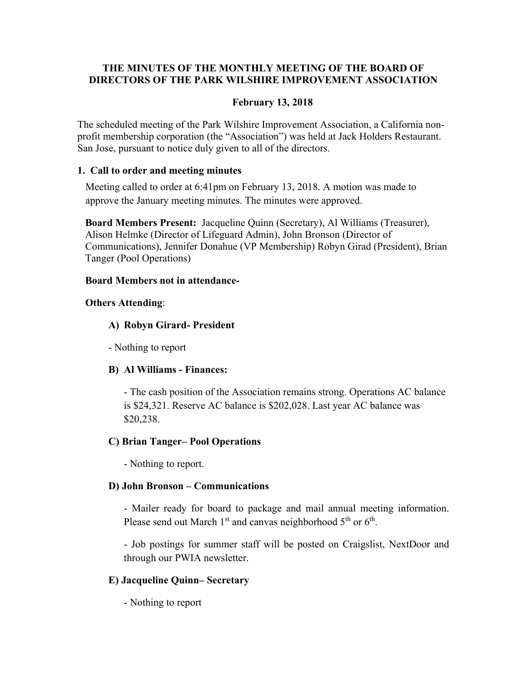# **THE MINUTES OF THE MONTHLY MEETING OF THE BOARD OF DIRECTORS OF THE PARK WILSHIRE IMPROVEMENT ASSOCIATION**

# **February 13, 2018**

The scheduled meeting of the Park Wilshire Improvement Association, a California nonprofit membership corporation (the "Association") was held at Jack Holders Restaurant. San Jose, pursuant to notice duly given to all of the directors.

#### **1. Call to order and meeting minutes**

Meeting called to order at 6:41pm on February 13, 2018. A motion was made to approve the January meeting minutes. The minutes were approved.

**Board Members Present:** Jacqueline Quinn (Secretary), Al Williams (Treasurer), Alison Helmke (Director of Lifeguard Admin), John Bronson (Director of Communications), Jennifer Donahue (VP Membership) Robyn Girad (President), Brian Tanger (Pool Operations)

#### **Board Members not in attendance-**

# **Others Attending**:

# **A) Robyn Girard- President**

- Nothing to report

# **B) Al Williams - Finances:**

- The cash position of the Association remains strong. Operations AC balance is \$24,321. Reserve AC balance is \$202,028. Last year AC balance was \$20,238.

# **C) Brian Tanger– Pool Operations**

- Nothing to report.

# **D) John Bronson – Communications**

- Mailer ready for board to package and mail annual meeting information. Please send out March  $1<sup>st</sup>$  and canvas neighborhood  $5<sup>th</sup>$  or  $6<sup>th</sup>$ .

 - Job postings for summer staff will be posted on Craigslist, NextDoor and through our PWIA newsletter.

# **E) Jacqueline Quinn– Secretary**

- Nothing to report